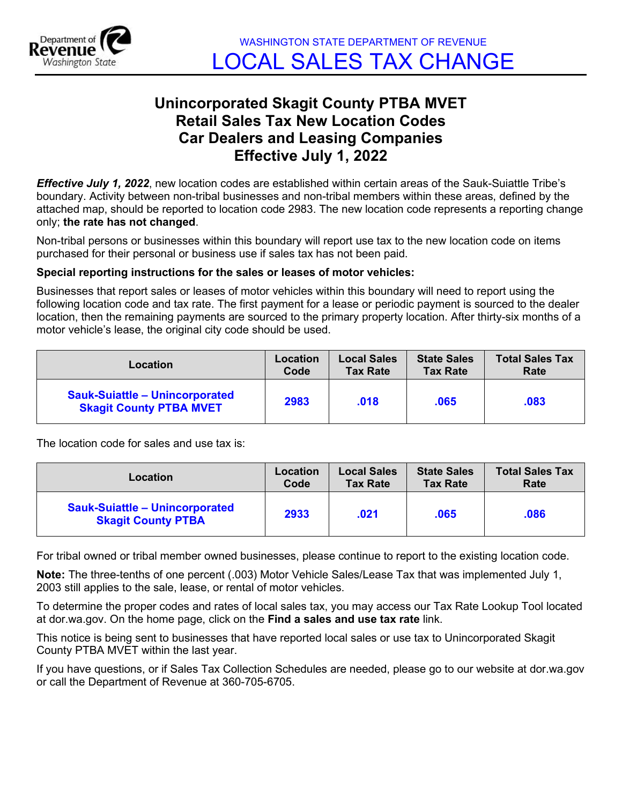

## **Unincorporated Skagit County PTBA MVET Retail Sales Tax New Location Codes Car Dealers and Leasing Companies Effective July 1, 2022**

*Effective July 1, 2022*, new location codes are established within certain areas of the Sauk-Suiattle Tribe's boundary. Activity between non-tribal businesses and non-tribal members within these areas, defined by the attached map, should be reported to location code 2983. The new location code represents a reporting change only; **the rate has not changed**.

Non-tribal persons or businesses within this boundary will report use tax to the new location code on items purchased for their personal or business use if sales tax has not been paid.

## **Special reporting instructions for the sales or leases of motor vehicles:**

Businesses that report sales or leases of motor vehicles within this boundary will need to report using the following location code and tax rate. The first payment for a lease or periodic payment is sourced to the dealer location, then the remaining payments are sourced to the primary property location. After thirty-six months of a motor vehicle's lease, the original city code should be used.

| Location                                                                | Location | <b>Local Sales</b> | <b>State Sales</b> | <b>Total Sales Tax</b> |
|-------------------------------------------------------------------------|----------|--------------------|--------------------|------------------------|
|                                                                         | Code     | <b>Tax Rate</b>    | <b>Tax Rate</b>    | Rate                   |
| <b>Sauk-Suiattle - Unincorporated</b><br><b>Skagit County PTBA MVET</b> | 2983     | .018               | .065               | .083                   |

The location code for sales and use tax is:

| <b>Location</b>                                                    | Location | <b>Local Sales</b> | <b>State Sales</b> | <b>Total Sales Tax</b> |
|--------------------------------------------------------------------|----------|--------------------|--------------------|------------------------|
|                                                                    | Code     | <b>Tax Rate</b>    | <b>Tax Rate</b>    | Rate                   |
| <b>Sauk-Suiattle - Unincorporated</b><br><b>Skagit County PTBA</b> | 2933     | .021               | .065               | .086                   |

For tribal owned or tribal member owned businesses, please continue to report to the existing location code.

**Note:** The three-tenths of one percent (.003) Motor Vehicle Sales/Lease Tax that was implemented July 1, 2003 still applies to the sale, lease, or rental of motor vehicles.

To determine the proper codes and rates of local sales tax, you may access our Tax Rate Lookup Tool located at dor.wa.gov. On the home page, click on the **Find a sales and use tax rate** link.

This notice is being sent to businesses that have reported local sales or use tax to Unincorporated Skagit County PTBA MVET within the last year.

If you have questions, or if Sales Tax Collection Schedules are needed, please go to our website at dor.wa.gov or call the Department of Revenue at 360-705-6705.